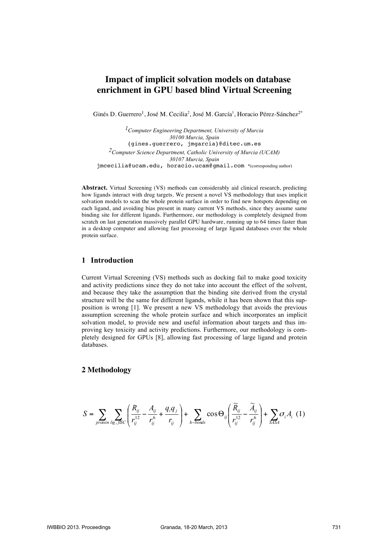# **Impact of implicit solvation models on database enrichment in GPU based blind Virtual Screening**

Ginés D. Guerrero<sup>1</sup>, José M. Cecilia<sup>2</sup>, José M. García<sup>1</sup>, Horacio Pérez-Sánchez<sup>2\*</sup>

*1Computer Engineering Department, University of Murcia 30100 Murcia, Spain* {gines.guerrero, jmgarcia}@ditec.um.es *2Computer Science Department, Catholic University of Murcia (UCAM) 30107 Murcia, Spain* jmcecilia@ucam.edu, horacio.ucam@gmail.com \*(corresponding author)

**Abstract.** Virtual Screening (VS) methods can considerably aid clinical research, predicting how ligands interact with drug targets. We present a novel VS methodology that uses implicit solvation models to scan the whole protein surface in order to find new hotspots depending on each ligand, and avoiding bias present in many current VS methods, since they assume same binding site for different ligands. Furthermore, our methodology is completely designed from scratch on last generation massively parallel GPU hardware, running up to 64 times faster than in a desktop computer and allowing fast processing of large ligand databases over the whole protein surface.

# **1 Introduction**

Current Virtual Screening (VS) methods such as docking fail to make good toxicity and activity predictions since they do not take into account the effect of the solvent, and because they take the assumption that the binding site derived from the crystal structure will be the same for different ligands, while it has been shown that this supposition is wrong [1]. We present a new VS methodology that avoids the previous assumption screening the whole protein surface and which incorporates an implicit solvation model, to provide new and useful information about targets and thus improving key toxicity and activity predictions. Furthermore, our methodology is completely designed for GPUs [8], allowing fast processing of large ligand and protein databases.

# **2 Methodology**

$$
S = \sum_{\text{protein}} \sum_{lig, JSC} \left( \frac{R_{ij}}{r_{ij}^{12}} - \frac{A_{ij}}{r_{ij}^6} + \frac{q_i q_j}{r_{ij}} \right) + \sum_{h-\text{bonds}} \cos \Theta_{ij} \left( \frac{\widetilde{R}_{ij}}{r_{ij}^{12}} - \frac{\widetilde{A}_{ij}}{r_{ij}^6} \right) + \sum_{SASA} \sigma_i A_i \tag{1}
$$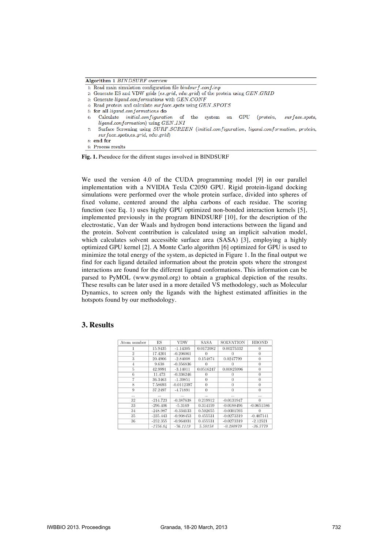Algorithm 1 BINDSURF overview

- 1: Read main simulation configuration file  $bindsurf\_config$
- 2: Generate ES and VDW grids (es\_grid, vdw\_grid) of the protein using GEN\_GRID
- 3: Generate ligand-conformations with GEN\_CONF
- 4: Read protein and calculate surface\_spots using GEN\_SPOTS
- 5: for all ligand\_conformations do
- Calculate *initial\_configuration*  $\sigma$ system on GPU (protein,  $surface\_spots,$ the  $6:$ ligand\_conformation) using GEN\_INI
- Surface Screening using SURF-SCREEN (initial-configuration, ligand-conformation, protein,  $7:$  $surface\_spots, es\_grid, vdw\_grid)$  $8:$  end for
- 9: Process results

**Fig. 1.** Pseudoce for the difrent stages involved in BINDSURF

We used the version 4.0 of the CUDA programming model [9] in our parallel implementation with a NVIDIA Tesla C2050 GPU. Rigid protein-ligand docking simulations were performed over the whole protein surface, divided into spheres of fixed volume, centered around the alpha carbons of each residue. The scoring function (see Eq. 1) uses highly GPU optimized non-bonded interaction kernels [5], implemented previously in the program BINDSURF [10], for the description of the electrostatic, Van der Waals and hydrogen bond interactions between the ligand and the protein. Solvent contribution is calculated using an implicit salvation model, which calculates solvent accessible surface area (SASA) [3], employing a highly optimized GPU kernel [2]. A Monte Carlo algorithm [6] optimized for GPU is used to minimize the total energy of the system, as depicted in Figure 1. In the final output we find for each ligand detailed information about the protein spots where the strongest interactions are found for the different ligand conformations. This information can be parsed to PyMOL (www.pymol.org) to obtain a graphical depiction of the results. These results can be later used in a more detailed VS methodology, such as Molecular Dynamics, to screen only the ligands with the highest estimated affinities in the hotspots found by our methodology.

#### **3. Results**

| Atom number    | ES         | VDW          | <b>SASA</b> | <b>SOLVATION</b> | <b>HBOND</b>   |
|----------------|------------|--------------|-------------|------------------|----------------|
|                | 15.9435    | $-1.14305$   | 0.0172082   | 0.00275332       | $\Omega$       |
| $\overline{2}$ | 17.4201    | $-0.206061$  |             |                  | $\Omega$       |
| 3              | 20.4906    | $-2.84008$   | 0.154874    | 0.0247799        | $\theta$       |
| $\overline{4}$ | 9.638      | $-0.356836$  | 0           | $\Omega$         | $\Omega$       |
| 5              | 42.9991    | $-3.14011$   | 0.0516247   | 0.00825996       | $\Omega$       |
| 6              | 11.473     | $-0.336246$  | $\theta$    | $\Omega$         | $\overline{0}$ |
| 7              | 36.3463    | $-1.39851$   | $\theta$    | $\Omega$         | $\theta$       |
| 8              | 7.58693    | $-0.0112397$ | $\theta$    | 0                | $\theta$       |
| 9              | 37.2497    | $-4.71891$   | $\theta$    | $\theta$         | $\Omega$       |
| $\cdots$       | $\cdots$   | $\cdots$     | $\cdots$    | $\cdots$         | $\cdots$       |
| 32             | $-214.723$ | $-0.387638$  | 0.219912    | $-0.0131947$     | 0              |
| 33             | $-296.406$ | $-5.3169$    | 0.314159    | $-0.0188496$     | $-0.0651586$   |
| 34             | $-248.987$ | $-0.334133$  | 0.502655    | $-0.0301593$     | 0              |
| 35             | $-235.443$ | $-0.908453$  | 0.455531    | $-0.0273319$     | $-0.407141$    |
| 36             | $-252.355$ | $-0.964031$  | 0.455531    | $-0.0273319$     | $-2.12521$     |
|                | $-1756.04$ | $-76.1119$   | 5.50158     | $-0.280879$      | $-36.5779$     |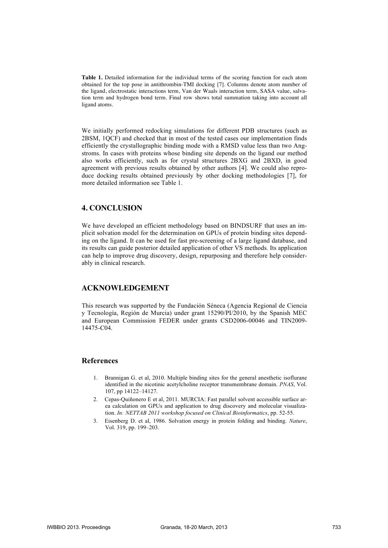**Table 1.** Detailed information for the individual terms of the scoring function for each atom obtained for the top pose in antithrombin-TMI docking [7]. Columns denote atom number of the ligand, electrostatic interactions term, Van der Waals interaction term, SASA value, salvation term and hydrogen bond term. Final row shows total summation taking into account all ligand atoms.

We initially performed redocking simulations for different PDB structures (such as 2BSM, 1QCF) and checked that in most of the tested cases our implementation finds efficiently the crystallographic binding mode with a RMSD value less than two Angstroms. In cases with proteins whose binding site depends on the ligand our method also works efficiently, such as for crystal structures 2BXG and 2BXD, in good agreement with previous results obtained by other authors [4]. We could also reproduce docking results obtained previously by other docking methodologies [7], for more detailed information see Table 1.

# **4. CONCLUSION**

We have developed an efficient methodology based on BINDSURF that uses an implicit solvation model for the determination on GPUs of protein binding sites depending on the ligand. It can be used for fast pre-screening of a large ligand database, and its results can guide posterior detailed application of other VS methods. Its application can help to improve drug discovery, design, repurposing and therefore help considerably in clinical research.

# **ACKNOWLEDGEMENT**

This research was supported by the Fundación Séneca (Agencia Regional de Ciencia y Tecnología, Región de Murcia) under grant 15290/PI/2010, by the Spanish MEC and European Commission FEDER under grants CSD2006-00046 and TIN2009- 14475-C04.

#### **References**

- 1. Brannigan G. et al, 2010. Multiple binding sites for the general anesthetic isoflurane identified in the nicotinic acetylcholine receptor transmembrane domain. *PNAS*, Vol. 107, pp 14122–14127.
- 2. Cepas-Quiñonero E et al, 2011. MURCIA: Fast parallel solvent accessible surface area calculation on GPUs and application to drug discovery and molecular visualization. *In: NETTAB 2011 workshop focused on Clinical Bioinformatics*, pp. 52-55.
- 3. Eisenberg D. et al, 1986. Solvation energy in protein folding and binding. *Nature*, Vol. 319, pp. 199–203.